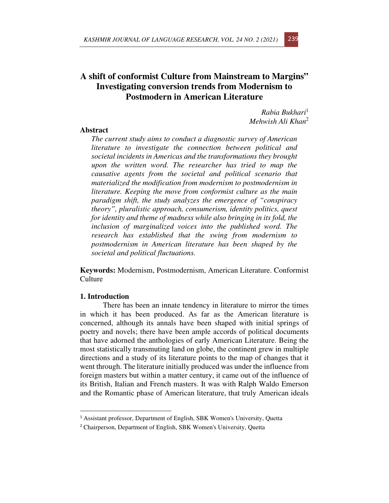# **A shift of conformist Culture from Mainstream to Margins" Investigating conversion trends from Modernism to Postmodern in American Literature**

*Rabia Bukhari*<sup>1</sup> *Mehwish Ali Khan*<sup>2</sup>

# **Abstract**

*The current study aims to conduct a diagnostic survey of American literature to investigate the connection between political and societal incidents in Americas and the transformations they brought upon the written word. The researcher has tried to map the causative agents from the societal and political scenario that materialized the modification from modernism to postmodernism in literature. Keeping the move from conformist culture as the main paradigm shift, the study analyzes the emergence of "conspiracy theory", pluralistic approach, consumerism, identity politics, quest for identity and theme of madness while also bringing in its fold, the inclusion of marginalized voices into the published word. The research has established that the swing from modernism to postmodernism in American literature has been shaped by the societal and political fluctuations.* 

**Keywords:** Modernism, Postmodernism, American Literature. Conformist Culture

## **1. Introduction**

There has been an innate tendency in literature to mirror the times in which it has been produced. As far as the American literature is concerned, although its annals have been shaped with initial springs of poetry and novels; there have been ample accords of political documents that have adorned the anthologies of early American Literature. Being the most statistically transmuting land on globe, the continent grew in multiple directions and a study of its literature points to the map of changes that it went through. The literature initially produced was under the influence from foreign masters but within a matter century, it came out of the influence of its British, Italian and French masters. It was with Ralph Waldo Emerson and the Romantic phase of American literature, that truly American ideals

<sup>1</sup> Assistant professor, Department of English, SBK Women's University, Quetta

<sup>2</sup> Chairperson, Department of English, SBK Women's University, Quetta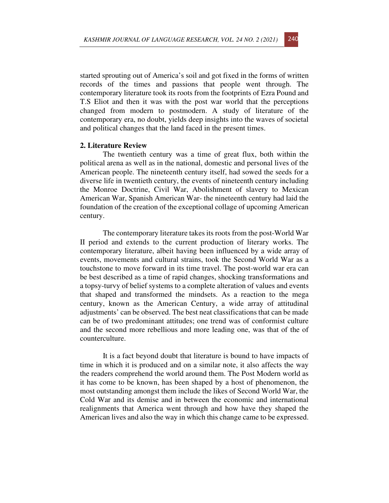started sprouting out of America's soil and got fixed in the forms of written records of the times and passions that people went through. The contemporary literature took its roots from the footprints of Ezra Pound and T.S Eliot and then it was with the post war world that the perceptions changed from modern to postmodern. A study of literature of the contemporary era, no doubt, yields deep insights into the waves of societal and political changes that the land faced in the present times.

#### **2. Literature Review**

The twentieth century was a time of great flux, both within the political arena as well as in the national, domestic and personal lives of the American people. The nineteenth century itself, had sowed the seeds for a diverse life in twentieth century, the events of nineteenth century including the Monroe Doctrine, Civil War, Abolishment of slavery to Mexican American War, Spanish American War- the nineteenth century had laid the foundation of the creation of the exceptional collage of upcoming American century.

The contemporary literature takes its roots from the post-World War II period and extends to the current production of literary works. The contemporary literature, albeit having been influenced by a wide array of events, movements and cultural strains, took the Second World War as a touchstone to move forward in its time travel. The post-world war era can be best described as a time of rapid changes, shocking transformations and a topsy-turvy of belief systems to a complete alteration of values and events that shaped and transformed the mindsets. As a reaction to the mega century, known as the American Century, a wide array of attitudinal adjustments' can be observed. The best neat classifications that can be made can be of two predominant attitudes; one trend was of conformist culture and the second more rebellious and more leading one, was that of the of counterculture.

It is a fact beyond doubt that literature is bound to have impacts of time in which it is produced and on a similar note, it also affects the way the readers comprehend the world around them. The Post Modern world as it has come to be known, has been shaped by a host of phenomenon, the most outstanding amongst them include the likes of Second World War, the Cold War and its demise and in between the economic and international realignments that America went through and how have they shaped the American lives and also the way in which this change came to be expressed.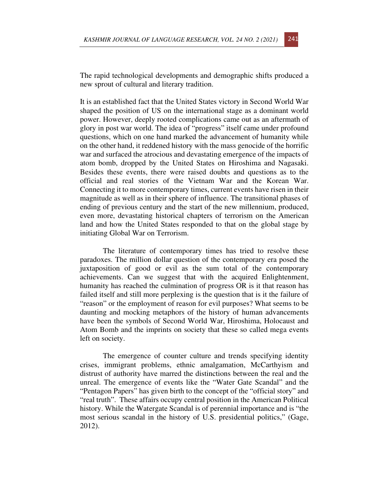The rapid technological developments and demographic shifts produced a new sprout of cultural and literary tradition.

It is an established fact that the United States victory in Second World War shaped the position of US on the international stage as a dominant world power. However, deeply rooted complications came out as an aftermath of glory in post war world. The idea of "progress" itself came under profound questions, which on one hand marked the advancement of humanity while on the other hand, it reddened history with the mass genocide of the horrific war and surfaced the atrocious and devastating emergence of the impacts of atom bomb, dropped by the United States on Hiroshima and Nagasaki. Besides these events, there were raised doubts and questions as to the official and real stories of the Vietnam War and the Korean War. Connecting it to more contemporary times, current events have risen in their magnitude as well as in their sphere of influence. The transitional phases of ending of previous century and the start of the new millennium, produced, even more, devastating historical chapters of terrorism on the American land and how the United States responded to that on the global stage by initiating Global War on Terrorism.

The literature of contemporary times has tried to resolve these paradoxes. The million dollar question of the contemporary era posed the juxtaposition of good or evil as the sum total of the contemporary achievements. Can we suggest that with the acquired Enlightenment, humanity has reached the culmination of progress OR is it that reason has failed itself and still more perplexing is the question that is it the failure of "reason" or the employment of reason for evil purposes? What seems to be daunting and mocking metaphors of the history of human advancements have been the symbols of Second World War, Hiroshima, Holocaust and Atom Bomb and the imprints on society that these so called mega events left on society.

The emergence of counter culture and trends specifying identity crises, immigrant problems, ethnic amalgamation, McCarthyism and distrust of authority have marred the distinctions between the real and the unreal. The emergence of events like the "Water Gate Scandal" and the "Pentagon Papers" has given birth to the concept of the "official story" and "real truth". These affairs occupy central position in the American Political history. While the Watergate Scandal is of perennial importance and is "the most serious scandal in the history of U.S. presidential politics," (Gage, 2012).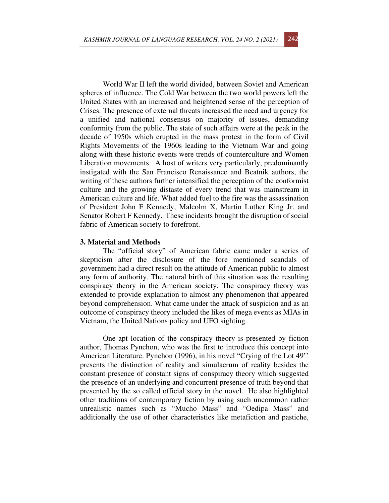World War II left the world divided, between Soviet and American spheres of influence. The Cold War between the two world powers left the United States with an increased and heightened sense of the perception of Crises. The presence of external threats increased the need and urgency for a unified and national consensus on majority of issues, demanding conformity from the public. The state of such affairs were at the peak in the decade of 1950s which erupted in the mass protest in the form of Civil Rights Movements of the 1960s leading to the Vietnam War and going along with these historic events were trends of counterculture and Women Liberation movements. A host of writers very particularly, predominantly instigated with the San Francisco Renaissance and Beatnik authors, the writing of these authors further intensified the perception of the conformist culture and the growing distaste of every trend that was mainstream in American culture and life. What added fuel to the fire was the assassination of President John F Kennedy, Malcolm X, Martin Luther King Jr. and Senator Robert F Kennedy. These incidents brought the disruption of social fabric of American society to forefront.

### **3. Material and Methods**

The "official story" of American fabric came under a series of skepticism after the disclosure of the fore mentioned scandals of government had a direct result on the attitude of American public to almost any form of authority. The natural birth of this situation was the resulting conspiracy theory in the American society. The conspiracy theory was extended to provide explanation to almost any phenomenon that appeared beyond comprehension. What came under the attack of suspicion and as an outcome of conspiracy theory included the likes of mega events as MIAs in Vietnam, the United Nations policy and UFO sighting.

One apt location of the conspiracy theory is presented by fiction author, Thomas Pynchon, who was the first to introduce this concept into American Literature. Pynchon (1996), in his novel "Crying of the Lot 49'' presents the distinction of reality and simulacrum of reality besides the constant presence of constant signs of conspiracy theory which suggested the presence of an underlying and concurrent presence of truth beyond that presented by the so called official story in the novel. He also highlighted other traditions of contemporary fiction by using such uncommon rather unrealistic names such as "Mucho Mass" and "Oedipa Mass" and additionally the use of other characteristics like metafiction and pastiche,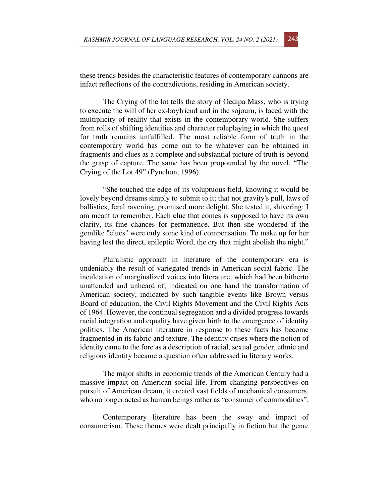these trends besides the characteristic features of contemporary cannons are infact reflections of the contradictions, residing in American society.

The Crying of the lot tells the story of Oedipa Mass, who is trying to execute the will of her ex-boyfriend and in the sojourn, is faced with the multiplicity of reality that exists in the contemporary world. She suffers from rolls of shifting identities and character roleplaying in which the quest for truth remains unfulfilled. The most reliable form of truth in the contemporary world has come out to be whatever can be obtained in fragments and clues as a complete and substantial picture of truth is beyond the grasp of capture. The same has been propounded by the novel, "The Crying of the Lot 49" (Pynchon, 1996).

"She touched the edge of its voluptuous field, knowing it would be lovely beyond dreams simply to submit to it; that not gravity's pull, laws of ballistics, feral ravening, promised more delight. She tested it, shivering: I am meant to remember. Each clue that comes is supposed to have its own clarity, its fine chances for permanence. But then she wondered if the gemlike "clues" were only some kind of compensation. To make up for her having lost the direct, epileptic Word, the cry that might abolish the night."

Pluralistic approach in literature of the contemporary era is undeniably the result of variegated trends in American social fabric. The inculcation of marginalized voices into literature, which had been hitherto unattended and unheard of, indicated on one hand the transformation of American society, indicated by such tangible events like Brown versus Board of education, the Civil Rights Movement and the Civil Rights Acts of 1964. However, the continual segregation and a divided progress towards racial integration and equality have given birth to the emergence of identity politics. The American literature in response to these facts has become fragmented in its fabric and texture. The identity crises where the notion of identity came to the fore as a description of racial, sexual gender, ethnic and religious identity became a question often addressed in literary works.

The major shifts in economic trends of the American Century had a massive impact on American social life. From changing perspectives on pursuit of American dream, it created vast fields of mechanical consumers, who no longer acted as human beings rather as "consumer of commodities".

Contemporary literature has been the sway and impact of consumerism. These themes were dealt principally in fiction but the genre

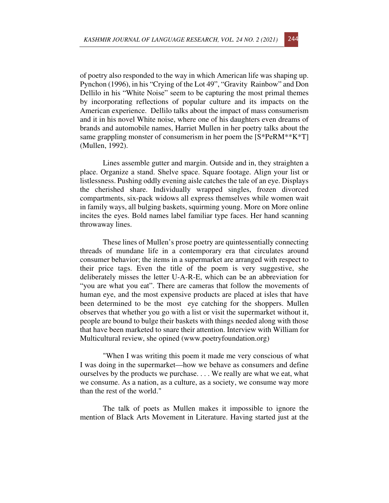of poetry also responded to the way in which American life was shaping up. Pynchon (1996), in his "Crying of the Lot 49", "Gravity Rainbow" and Don Dellilo in his "White Noise" seem to be capturing the most primal themes by incorporating reflections of popular culture and its impacts on the American experience. Dellilo talks about the impact of mass consumerism and it in his novel White noise, where one of his daughters even dreams of brands and automobile names, Harriet Mullen in her poetry talks about the same grappling monster of consumerism in her poem the  $[S^*PeRM^{**}K^*T]$ (Mullen, 1992).

Lines assemble gutter and margin. Outside and in, they straighten a place. Organize a stand. Shelve space. Square footage. Align your list or listlessness. Pushing oddly evening aisle catches the tale of an eye. Displays the cherished share. Individually wrapped singles, frozen divorced compartments, six-pack widows all express themselves while women wait in family ways, all bulging baskets, squirming young. More on More online incites the eyes. Bold names label familiar type faces. Her hand scanning throwaway lines.

These lines of Mullen's prose poetry are quintessentially connecting threads of mundane life in a contemporary era that circulates around consumer behavior; the items in a supermarket are arranged with respect to their price tags. Even the title of the poem is very suggestive, she deliberately misses the letter U-A-R-E, which can be an abbreviation for "you are what you eat". There are cameras that follow the movements of human eye, and the most expensive products are placed at isles that have been determined to be the most eye catching for the shoppers. Mullen observes that whether you go with a list or visit the supermarket without it, people are bound to bulge their baskets with things needed along with those that have been marketed to snare their attention. Interview with William for Multicultural review, she opined (www.poetryfoundation.org)

"When I was writing this poem it made me very conscious of what I was doing in the supermarket—how we behave as consumers and define ourselves by the products we purchase. . . . We really are what we eat, what we consume. As a nation, as a culture, as a society, we consume way more than the rest of the world."

The talk of poets as Mullen makes it impossible to ignore the mention of Black Arts Movement in Literature. Having started just at the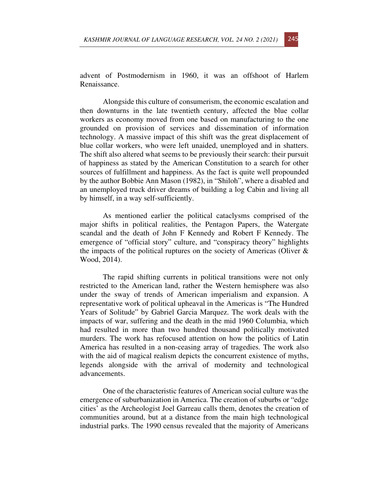advent of Postmodernism in 1960, it was an offshoot of Harlem Renaissance.

Alongside this culture of consumerism, the economic escalation and then downturns in the late twentieth century, affected the blue collar workers as economy moved from one based on manufacturing to the one grounded on provision of services and dissemination of information technology. A massive impact of this shift was the great displacement of blue collar workers, who were left unaided, unemployed and in shatters. The shift also altered what seems to be previously their search: their pursuit of happiness as stated by the American Constitution to a search for other sources of fulfillment and happiness. As the fact is quite well propounded by the author Bobbie Ann Mason (1982), in "Shiloh", where a disabled and an unemployed truck driver dreams of building a log Cabin and living all by himself, in a way self-sufficiently.

As mentioned earlier the political cataclysms comprised of the major shifts in political realities, the Pentagon Papers, the Watergate scandal and the death of John F Kennedy and Robert F Kennedy. The emergence of "official story" culture, and "conspiracy theory" highlights the impacts of the political ruptures on the society of Americas (Oliver  $\&$ Wood, 2014).

The rapid shifting currents in political transitions were not only restricted to the American land, rather the Western hemisphere was also under the sway of trends of American imperialism and expansion. A representative work of political upheaval in the Americas is "The Hundred Years of Solitude" by Gabriel Garcia Marquez. The work deals with the impacts of war, suffering and the death in the mid 1960 Columbia, which had resulted in more than two hundred thousand politically motivated murders. The work has refocused attention on how the politics of Latin America has resulted in a non-ceasing array of tragedies. The work also with the aid of magical realism depicts the concurrent existence of myths, legends alongside with the arrival of modernity and technological advancements.

One of the characteristic features of American social culture was the emergence of suburbanization in America. The creation of suburbs or "edge cities' as the Archeologist Joel Garreau calls them, denotes the creation of communities around, but at a distance from the main high technological industrial parks. The 1990 census revealed that the majority of Americans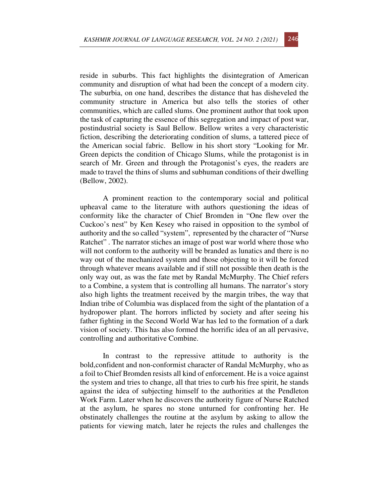reside in suburbs. This fact highlights the disintegration of American community and disruption of what had been the concept of a modern city. The suburbia, on one hand, describes the distance that has disheveled the community structure in America but also tells the stories of other communities, which are called slums. One prominent author that took upon the task of capturing the essence of this segregation and impact of post war, postindustrial society is Saul Bellow. Bellow writes a very characteristic fiction, describing the deteriorating condition of slums, a tattered piece of the American social fabric. Bellow in his short story "Looking for Mr. Green depicts the condition of Chicago Slums, while the protagonist is in search of Mr. Green and through the Protagonist's eyes, the readers are made to travel the thins of slums and subhuman conditions of their dwelling (Bellow, 2002).

A prominent reaction to the contemporary social and political upheaval came to the literature with authors questioning the ideas of conformity like the character of Chief Bromden in "One flew over the Cuckoo's nest" by Ken Kesey who raised in opposition to the symbol of authority and the so called "system", represented by the character of "Nurse Ratchet" . The narrator stiches an image of post war world where those who will not conform to the authority will be branded as lunatics and there is no way out of the mechanized system and those objecting to it will be forced through whatever means available and if still not possible then death is the only way out, as was the fate met by Randal McMurphy. The Chief refers to a Combine, a system that is controlling all humans. The narrator's story also high lights the treatment received by the margin tribes, the way that Indian tribe of Columbia was displaced from the sight of the plantation of a hydropower plant. The horrors inflicted by society and after seeing his father fighting in the Second World War has led to the formation of a dark vision of society. This has also formed the horrific idea of an all pervasive, controlling and authoritative Combine.

In contrast to the repressive attitude to authority is the bold,confident and non-conformist character of Randal McMurphy, who as a foil to Chief Bromden resists all kind of enforcement. He is a voice against the system and tries to change, all that tries to curb his free spirit, he stands against the idea of subjecting himself to the authorities at the Pendleton Work Farm. Later when he discovers the authority figure of Nurse Ratched at the asylum, he spares no stone unturned for confronting her. He obstinately challenges the routine at the asylum by asking to allow the patients for viewing match, later he rejects the rules and challenges the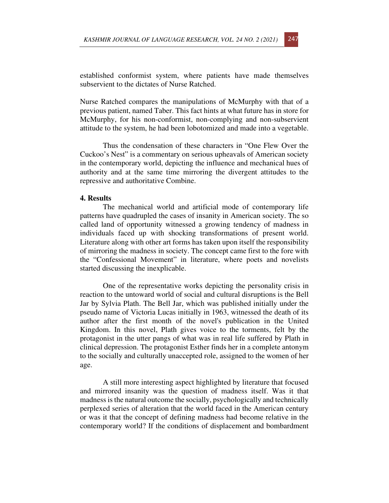established conformist system, where patients have made themselves subservient to the dictates of Nurse Ratched.

Nurse Ratched compares the manipulations of McMurphy with that of a previous patient, named Taber. This fact hints at what future has in store for McMurphy, for his non-conformist, non-complying and non-subservient attitude to the system, he had been lobotomized and made into a vegetable.

Thus the condensation of these characters in "One Flew Over the Cuckoo's Nest" is a commentary on serious upheavals of American society in the contemporary world, depicting the influence and mechanical hues of authority and at the same time mirroring the divergent attitudes to the repressive and authoritative Combine.

## **4. Results**

The mechanical world and artificial mode of contemporary life patterns have quadrupled the cases of insanity in American society. The so called land of opportunity witnessed a growing tendency of madness in individuals faced up with shocking transformations of present world. Literature along with other art forms has taken upon itself the responsibility of mirroring the madness in society. The concept came first to the fore with the "Confessional Movement" in literature, where poets and novelists started discussing the inexplicable.

One of the representative works depicting the personality crisis in reaction to the untoward world of social and cultural disruptions is the Bell Jar by Sylvia Plath. The Bell Jar, which was published initially under the pseudo name of Victoria Lucas initially in 1963, witnessed the death of its author after the first month of the novel's publication in the United Kingdom. In this novel, Plath gives voice to the torments, felt by the protagonist in the utter pangs of what was in real life suffered by Plath in clinical depression. The protagonist Esther finds her in a complete antonym to the socially and culturally unaccepted role, assigned to the women of her age.

A still more interesting aspect highlighted by literature that focused and mirrored insanity was the question of madness itself. Was it that madness is the natural outcome the socially, psychologically and technically perplexed series of alteration that the world faced in the American century or was it that the concept of defining madness had become relative in the contemporary world? If the conditions of displacement and bombardment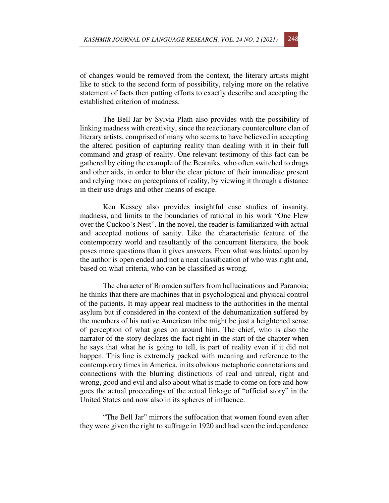of changes would be removed from the context, the literary artists might like to stick to the second form of possibility, relying more on the relative statement of facts then putting efforts to exactly describe and accepting the established criterion of madness.

The Bell Jar by Sylvia Plath also provides with the possibility of linking madness with creativity, since the reactionary counterculture clan of literary artists, comprised of many who seems to have believed in accepting the altered position of capturing reality than dealing with it in their full command and grasp of reality. One relevant testimony of this fact can be gathered by citing the example of the Beatniks, who often switched to drugs and other aids, in order to blur the clear picture of their immediate present and relying more on perceptions of reality, by viewing it through a distance in their use drugs and other means of escape.

Ken Kessey also provides insightful case studies of insanity, madness, and limits to the boundaries of rational in his work "One Flew over the Cuckoo's Nest". In the novel, the reader is familiarized with actual and accepted notions of sanity. Like the characteristic feature of the contemporary world and resultantly of the concurrent literature, the book poses more questions than it gives answers. Even what was hinted upon by the author is open ended and not a neat classification of who was right and, based on what criteria, who can be classified as wrong.

The character of Bromden suffers from hallucinations and Paranoia; he thinks that there are machines that in psychological and physical control of the patients. It may appear real madness to the authorities in the mental asylum but if considered in the context of the dehumanization suffered by the members of his native American tribe might be just a heightened sense of perception of what goes on around him. The chief, who is also the narrator of the story declares the fact right in the start of the chapter when he says that what he is going to tell, is part of reality even if it did not happen. This line is extremely packed with meaning and reference to the contemporary times in America, in its obvious metaphoric connotations and connections with the blurring distinctions of real and unreal, right and wrong, good and evil and also about what is made to come on fore and how goes the actual proceedings of the actual linkage of "official story" in the United States and now also in its spheres of influence.

"The Bell Jar" mirrors the suffocation that women found even after they were given the right to suffrage in 1920 and had seen the independence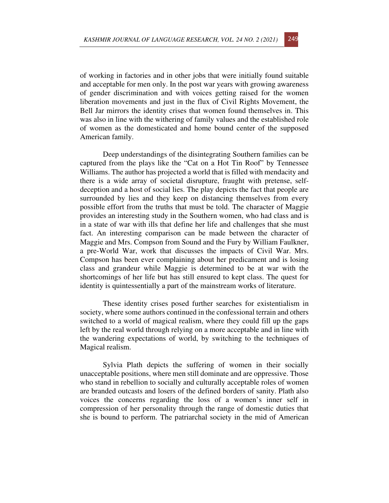of working in factories and in other jobs that were initially found suitable and acceptable for men only. In the post war years with growing awareness of gender discrimination and with voices getting raised for the women liberation movements and just in the flux of Civil Rights Movement, the Bell Jar mirrors the identity crises that women found themselves in. This was also in line with the withering of family values and the established role of women as the domesticated and home bound center of the supposed American family.

Deep understandings of the disintegrating Southern families can be captured from the plays like the "Cat on a Hot Tin Roof" by Tennessee Williams. The author has projected a world that is filled with mendacity and there is a wide array of societal disrupture, fraught with pretense, selfdeception and a host of social lies. The play depicts the fact that people are surrounded by lies and they keep on distancing themselves from every possible effort from the truths that must be told. The character of Maggie provides an interesting study in the Southern women, who had class and is in a state of war with ills that define her life and challenges that she must fact. An interesting comparison can be made between the character of Maggie and Mrs. Compson from Sound and the Fury by William Faulkner, a pre-World War, work that discusses the impacts of Civil War. Mrs. Compson has been ever complaining about her predicament and is losing class and grandeur while Maggie is determined to be at war with the shortcomings of her life but has still ensured to kept class. The quest for identity is quintessentially a part of the mainstream works of literature.

These identity crises posed further searches for existentialism in society, where some authors continued in the confessional terrain and others switched to a world of magical realism, where they could fill up the gaps left by the real world through relying on a more acceptable and in line with the wandering expectations of world, by switching to the techniques of Magical realism.

Sylvia Plath depicts the suffering of women in their socially unacceptable positions, where men still dominate and are oppressive. Those who stand in rebellion to socially and culturally acceptable roles of women are branded outcasts and losers of the defined borders of sanity. Plath also voices the concerns regarding the loss of a women's inner self in compression of her personality through the range of domestic duties that she is bound to perform. The patriarchal society in the mid of American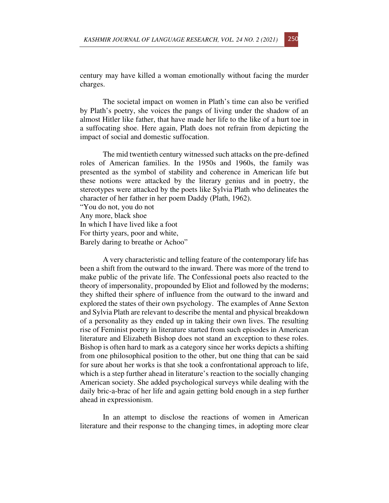century may have killed a woman emotionally without facing the murder charges.

The societal impact on women in Plath's time can also be verified by Plath's poetry, she voices the pangs of living under the shadow of an almost Hitler like father, that have made her life to the like of a hurt toe in a suffocating shoe. Here again, Plath does not refrain from depicting the impact of social and domestic suffocation.

The mid twentieth century witnessed such attacks on the pre-defined roles of American families. In the 1950s and 1960s, the family was presented as the symbol of stability and coherence in American life but these notions were attacked by the literary genius and in poetry, the stereotypes were attacked by the poets like Sylvia Plath who delineates the character of her father in her poem Daddy (Plath, 1962). "You do not, you do not Any more, black shoe

In which I have lived like a foot For thirty years, poor and white,

Barely daring to breathe or Achoo"

A very characteristic and telling feature of the contemporary life has been a shift from the outward to the inward. There was more of the trend to make public of the private life. The Confessional poets also reacted to the theory of impersonality, propounded by Eliot and followed by the moderns; they shifted their sphere of influence from the outward to the inward and explored the states of their own psychology. The examples of Anne Sexton and Sylvia Plath are relevant to describe the mental and physical breakdown of a personality as they ended up in taking their own lives. The resulting rise of Feminist poetry in literature started from such episodes in American literature and Elizabeth Bishop does not stand an exception to these roles. Bishop is often hard to mark as a category since her works depicts a shifting from one philosophical position to the other, but one thing that can be said for sure about her works is that she took a confrontational approach to life, which is a step further ahead in literature's reaction to the socially changing American society. She added psychological surveys while dealing with the daily bric-a-brac of her life and again getting bold enough in a step further ahead in expressionism.

In an attempt to disclose the reactions of women in American literature and their response to the changing times, in adopting more clear

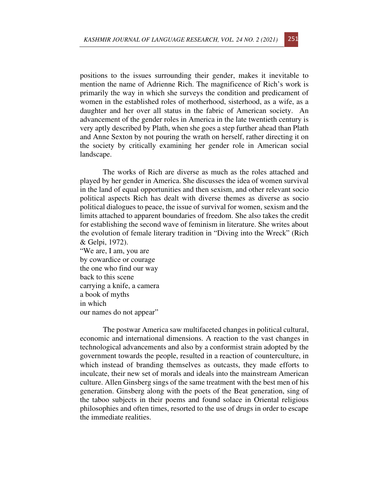positions to the issues surrounding their gender, makes it inevitable to mention the name of Adrienne Rich. The magnificence of Rich's work is primarily the way in which she surveys the condition and predicament of women in the established roles of motherhood, sisterhood, as a wife, as a daughter and her over all status in the fabric of American society. An advancement of the gender roles in America in the late twentieth century is very aptly described by Plath, when she goes a step further ahead than Plath and Anne Sexton by not pouring the wrath on herself, rather directing it on the society by critically examining her gender role in American social landscape.

The works of Rich are diverse as much as the roles attached and played by her gender in America. She discusses the idea of women survival in the land of equal opportunities and then sexism, and other relevant socio political aspects Rich has dealt with diverse themes as diverse as socio political dialogues to peace, the issue of survival for women, sexism and the limits attached to apparent boundaries of freedom. She also takes the credit for establishing the second wave of feminism in literature. She writes about the evolution of female literary tradition in "Diving into the Wreck" (Rich & Gelpi, 1972).

"We are, I am, you are by cowardice or courage the one who find our way back to this scene carrying a knife, a camera a book of myths in which our names do not appear"

The postwar America saw multifaceted changes in political cultural, economic and international dimensions. A reaction to the vast changes in technological advancements and also by a conformist strain adopted by the government towards the people, resulted in a reaction of counterculture, in which instead of branding themselves as outcasts, they made efforts to inculcate, their new set of morals and ideals into the mainstream American culture. Allen Ginsberg sings of the same treatment with the best men of his generation. Ginsberg along with the poets of the Beat generation, sing of the taboo subjects in their poems and found solace in Oriental religious philosophies and often times, resorted to the use of drugs in order to escape the immediate realities.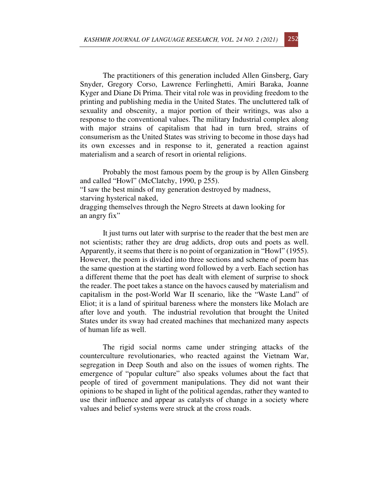The practitioners of this generation included Allen Ginsberg, Gary Snyder, Gregory Corso, Lawrence Ferlinghetti, Amiri Baraka, Joanne Kyger and Diane Di Prima. Their vital role was in providing freedom to the printing and publishing media in the United States. The uncluttered talk of sexuality and obscenity, a major portion of their writings, was also a response to the conventional values. The military Industrial complex along with major strains of capitalism that had in turn bred, strains of consumerism as the United States was striving to become in those days had its own excesses and in response to it, generated a reaction against materialism and a search of resort in oriental religions.

Probably the most famous poem by the group is by Allen Ginsberg and called "Howl" (McClatchy, 1990, p 255). "I saw the best minds of my generation destroyed by madness, starving hysterical naked, dragging themselves through the Negro Streets at dawn looking for an angry fix"

It just turns out later with surprise to the reader that the best men are not scientists; rather they are drug addicts, drop outs and poets as well. Apparently, it seems that there is no point of organization in "Howl" (1955). However, the poem is divided into three sections and scheme of poem has the same question at the starting word followed by a verb. Each section has a different theme that the poet has dealt with element of surprise to shock the reader. The poet takes a stance on the havocs caused by materialism and capitalism in the post-World War II scenario, like the "Waste Land" of Eliot; it is a land of spiritual bareness where the monsters like Molach are after love and youth. The industrial revolution that brought the United States under its sway had created machines that mechanized many aspects of human life as well.

The rigid social norms came under stringing attacks of the counterculture revolutionaries, who reacted against the Vietnam War, segregation in Deep South and also on the issues of women rights. The emergence of "popular culture" also speaks volumes about the fact that people of tired of government manipulations. They did not want their opinions to be shaped in light of the political agendas, rather they wanted to use their influence and appear as catalysts of change in a society where values and belief systems were struck at the cross roads.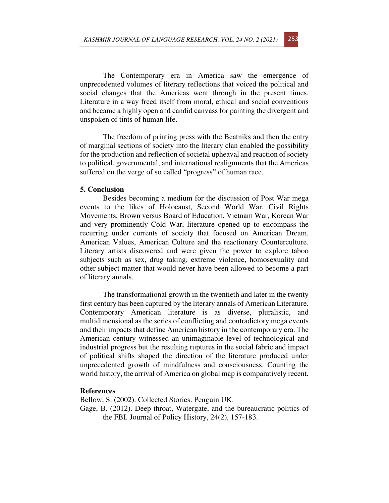The Contemporary era in America saw the emergence of unprecedented volumes of literary reflections that voiced the political and social changes that the Americas went through in the present times. Literature in a way freed itself from moral, ethical and social conventions and became a highly open and candid canvass for painting the divergent and unspoken of tints of human life.

The freedom of printing press with the Beatniks and then the entry of marginal sections of society into the literary clan enabled the possibility for the production and reflection of societal upheaval and reaction of society to political, governmental, and international realignments that the Americas suffered on the verge of so called "progress" of human race.

#### **5. Conclusion**

Besides becoming a medium for the discussion of Post War mega events to the likes of Holocaust, Second World War, Civil Rights Movements, Brown versus Board of Education, Vietnam War, Korean War and very prominently Cold War, literature opened up to encompass the recurring under currents of society that focused on American Dream, American Values, American Culture and the reactionary Counterculture. Literary artists discovered and were given the power to explore taboo subjects such as sex, drug taking, extreme violence, homosexuality and other subject matter that would never have been allowed to become a part of literary annals.

The transformational growth in the twentieth and later in the twenty first century has been captured by the literary annals of American Literature. Contemporary American literature is as diverse, pluralistic, and multidimensional as the series of conflicting and contradictory mega events and their impacts that define American history in the contemporary era. The American century witnessed an unimaginable level of technological and industrial progress but the resulting ruptures in the social fabric and impact of political shifts shaped the direction of the literature produced under unprecedented growth of mindfulness and consciousness. Counting the world history, the arrival of America on global map is comparatively recent.

### **References**

Bellow, S. (2002). Collected Stories. Penguin UK. Gage, B. (2012). Deep throat, Watergate, and the bureaucratic politics of the FBI. Journal of Policy History, 24(2), 157-183.